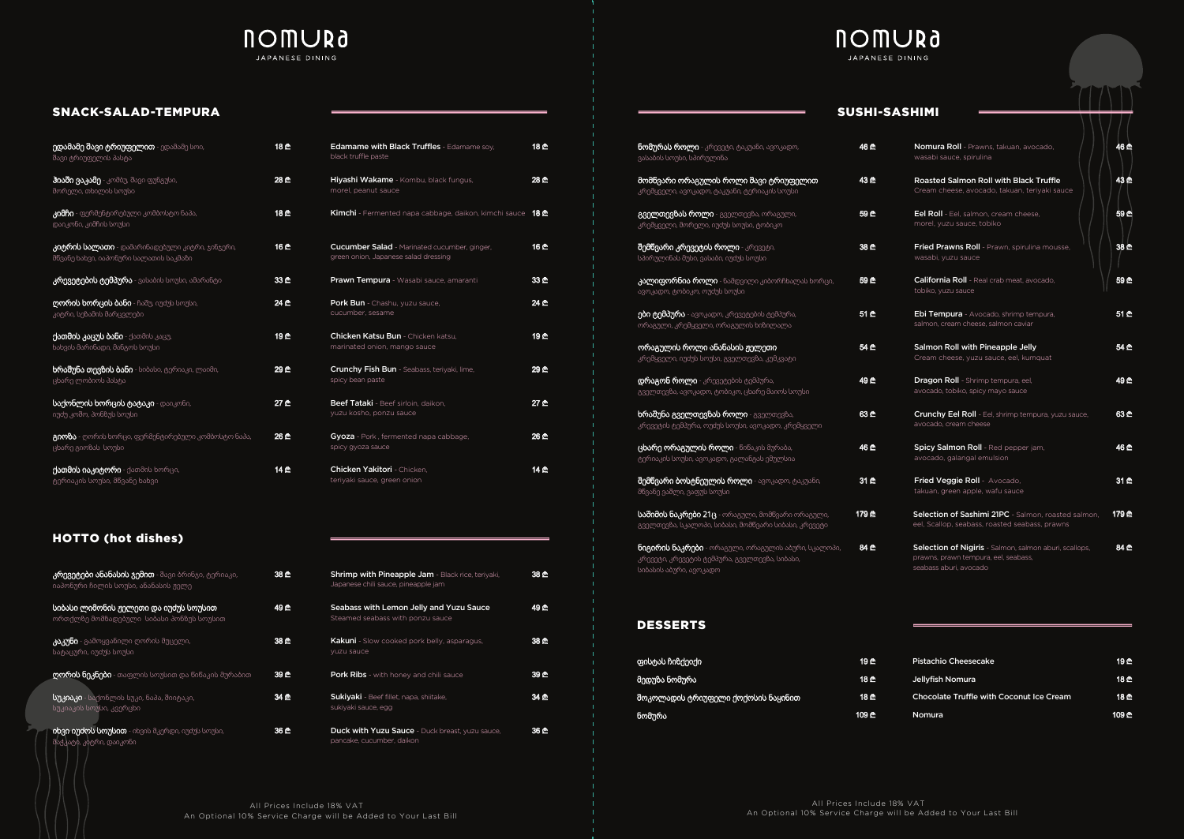

# **NOMURa** JAPANESE DINING

### SNACK-SALAD-TEMPURA

| 18 ₾ | Edamame with Black Truffles - Edamame soy,<br>black truffle paste                           | 18 C        |
|------|---------------------------------------------------------------------------------------------|-------------|
| 28 ₾ | Hiyashi Wakame - Kombu, black fungus,<br>morel, peanut sauce                                | 28 ₾        |
| 18 ₾ | <b>Kimchi</b> - Fermented napa cabbage, daikon, kimchi sauce                                | 18 ₾        |
| 16 ₾ | <b>Cucumber Salad</b> - Marinated cucumber, ginger,<br>green onion, Japanese salad dressing | 16 ₾        |
| 33 C | Prawn Tempura - Wasabi sauce, amaranti                                                      | 33 C        |
| 24 ₾ | Pork Bun - Chashu, yuzu sauce,<br>cucumber, sesame                                          | 24 ₾        |
| 19 ₾ | <b>Chicken Katsu Bun</b> - Chicken katsu,<br>marinated onion, mango sauce                   | <b>19 ₾</b> |
| 29 ₾ | <b>Crunchy Fish Bun</b> - Seabass, teriyaki, lime,<br>spicy bean paste                      | 29 ₾        |
| 27 ₾ | Beef Tataki - Beef sirloin, daikon,<br>yuzu kosho, ponzu sauce                              | 27 ₾        |
| 26 ₾ | Gyoza - Pork, fermented napa cabbage,<br>spicy gyoza sauce                                  | 26 ₾        |
| 14 ₾ | <b>Chicken Yakitori - Chicken.</b><br>teriyaki sauce, green onion                           | 14 ₾        |

| <b>ედამამე შავი ტრიუფელით</b> - ედამამე სოი,<br>შავი ტრიუფელის პასტა                     | 18 ₾        |
|------------------------------------------------------------------------------------------|-------------|
| <b>ჰიაში ვაკამე</b> - კომბუ, შავი ფუნგუსი,<br>მორელი, თხილის სოუსი                       | 28 ₾        |
| <mark>კიმჩი</mark> - ფერმენტირებული კომბოსტო ნაპა,<br>დაიკონი, კიმჩის სოუსი              | 18 C        |
| კიტრის სალათი - დამარინადებული კიტრი, ჯინჯერი,<br>მწვანე ხახვი, იაპონური სალათის საკმაზი | 16 C        |
| <b>კრევეტების ტემპურა</b> - ვასაბის სოუსი, ამარანტი                                      | 33 C        |
| დორის ხორცის ბანი - ჩაშუ, იუძუს სოუსი,<br>კიტრი, სეზამის მარცვლები                       | 24 ₾        |
| <b>ქათმის კაცუს ბანი</b> - ქათმის კაცუ,<br>ხახვის მარინადი, მანგოს სოუსი                 | 19 ₾        |
| <b>ხრაშუნა თევზის ბანი</b> - სიბასი, ტერიაკი, ლაიმი,<br>ცხარე ლობიოს პასტა               | 29 ₾        |
| საქონლის ხორცის ტატაკი - დაიკონი,<br>იუძუ კოშო, პონზუს სოუსი                             | 27 ₾        |
| გიოზა - ღორის ხორცი, ფერმენტირებული კომბოსტო ნაპა,<br>ცხარე გიოზას სოუსი                 | <u>26 ₾</u> |
| ქ <b>ათმის იაკიტორი</b> - ქათმის ხორცი,<br>ტერიაკის სოუსი, მწვანე ხახვი                  | 14 ₾        |

| <b>Nomura Roll</b> - Prawns, takuan, avocado,<br>wasabi sauce, spirulina                              | 46 ₾        |
|-------------------------------------------------------------------------------------------------------|-------------|
| <b>Roasted Salmon Roll with Black Truffle</b><br>Cream cheese, avocado, takuan, teriyaki sauce        | 43 C        |
| <b>Eel Roll</b> - Eel, salmon, cream cheese,<br>morel, yuzu sauce, tobiko                             | 59 C        |
| <b>Fried Prawns Roll</b> - Prawn, spirulina mousse,<br>wasabi, yuzu sauce                             | 38 C        |
| <b>California Roll</b> - Real crab meat, avocado,<br>tobiko, yuzu sauce                               | 59 ₾        |
| Ebi Tempura - Avocado, shrimp tempura,<br>salmon, cream cheese, salmon caviar                         | 51 C        |
| Salmon Roll with Pineapple Jelly<br>Cream cheese, yuzu sauce, eel, kumquat                            | 54 C        |
| <b>Dragon Roll</b> - Shrimp tempura, eel,<br>avocado, tobiko, spicy mayo sauce                        | 49 ₾        |
| <b>Crunchy Eel Roll</b> - Eel, shrimp tempura, yuzu sauce,<br>avocado, cream cheese                   | 63 C        |
| Spicy Salmon Roll - Red pepper jam,<br>avocado, galangal emulsion                                     | 46 <u>ጦ</u> |
| Fried Veggie Roll - Avocado,<br>takuan, green apple, wafu sauce                                       | 31 C        |
| Selection of Sashimi 21PC - Salmon, roasted salmon,<br>eel, Scallop, seabass, roasted seabass, prawns | 179 ₾       |
| <b>Selection of Nigiris</b> - Salmon, salmon aburi, scallops,<br>prawns, prawn tempura, eel, seabass, | 84 C        |

seabass aburi, avocado

| <b>ნომურას როლი</b> - კრევეტი, ტაკუანი, ავოკადო,<br>ვასაბის სოუსი, სპირულინა                                                          | 46 ₾        |
|---------------------------------------------------------------------------------------------------------------------------------------|-------------|
| მომწვარი ორაგულის როლი შავი ტრიუფელით<br>კრემყველი, ავოკადო, ტაკუანი, ტერიაკის სოუსი                                                  | 43 ₾        |
| გველთევზას როლი - გველთევზა, ორაგული,<br>კრემყველი, მორელი, იუძუს სოუსი, ტობიკო                                                       | 59 ₾        |
| <b>შემწვარი კრევეტის როლი</b> - კრევეტი,<br>სპირულინას მუსი, ვასაბი, იუძუს სოუსი                                                      | 38 ₾        |
| <b>კალიფორნია როლი</b> - ნამდვილი კიბორჩხალას ხორცი,<br>ავოკადო, ტობიკო, ოუძუს სოუსი                                                  | 59 ₾        |
| <b>ები ტემპურა</b> - ავოკადო, კრევეტების ტემპურა,<br>ორაგული, კრემყველი, ორაგულის ხიზილალა                                            | 51 ₾        |
| ორაგულის როლი ანანასის ჟელეთი<br>კრემყველი, იუძუს სოუსი, გველთევზა, კუმკვატი                                                          | 54 C        |
| <b>დრაგონ როლი</b> - კრევეტების ტემპურა,<br>გველთევზა, ავოკადო, ტობიკო, ცხარე მაიოს სოუსი                                             | <u>49 @</u> |
| <b>ხრაშუნა გველთევზას როლი</b> - <sub>მ</sub> ველთევზა,<br>კრევეტის ტემპურა, ოუძუს სოუსი, ავოკადო, კრემყველი                          | 63 C        |
| <b>ცხარე ორაგულის როლი</b> - წიწაკის მურაბა,<br>ტერიაკის სოუსი, ავოკადო, გალანგას ემულსია                                             | 46 ₾        |
| <b>შემწვარი ბოსტნეულის როლი</b> - ავოკადო, ტაკუანი,<br>მწვანე ვაშლი, ვაფუს სოუსი                                                      | 31 ₾        |
| <b>საშიმის ნაკრები 21ც</b> - ორაგული, მომწვარი ორაგული,<br>გველთევზა, სკალოპი, სიბასი, მომწვარი სიბასი, კრევეტი                       | 179 ₾       |
| <b>ნიგირის ნაკრები</b> - ორაგული, ორაგულის აბური, სკალოპი,<br>კრევეტი, კრევეტის ტემპურა, გველთევზა, სიბასი,<br>სიბასის აბური, ავოკადო | 84 C        |

## SUSHI-SASHIMI

| <b>Shrimp with Pineapple Jam - Black rice, teriyaki,</b><br>Japanese chili sauce, pineapple jam | 38 C        | სიბასის აბური, ავოკადო            |
|-------------------------------------------------------------------------------------------------|-------------|-----------------------------------|
| Seabass with Lemon Jelly and Yuzu Sauce<br>Steamed seabass with ponzu sauce                     | 49 <u>ጦ</u> | <b>DESSERTS</b>                   |
| <b>Kakuni</b> - Slow cooked pork belly, asparagus,<br>vuzu sauce                                | 38 C        |                                   |
| <b>Pork Ribs</b> - with honey and chili sauce                                                   | 39 C        | ფისტას ჩიზქეიქი<br> მედუზა ნომურა |
| Sukiyaki - Beef fillet, napa, shiitake,<br>sukiyaki sauce, egg                                  | 34 C        | შოკოლადის ტრიუფეი<br>ნომურა       |
| <b>Duck with Yuzu Sauce</b> - Duck breast, yuzu sauce,<br>pancake, cucumber, daikon             | 36 C        |                                   |

# **NOMURa**

## HOTTO (hot dishes)

## DESSERTS

| <b>კრევეტები ანანასის ჯემით</b> - შავი ბრინჯი, ტერიაკი,<br>იაპონური ჩილის სოუსი, ანანასის ჟელე | 38 C |
|------------------------------------------------------------------------------------------------|------|
| სიბასი ლიმონის ჟელეთი და იუძუს სოუსით<br>ორთქლზე მომზადებული სიბასი პონზუს სოუსით              | 49 ₾ |
| <b>კაკუნი</b> - გამოყვანილი ღორის მუცელი,<br>სატაცური, იუძუს სოუსი                             | 38 C |
| <b>ღორის ნეკნები</b> - თაფლის სოუსით და წიწაკის მურაბით                                        | 39 C |
| <b>სუკიაკი</b> - საქონლის სუკი, ნაპა, შიიტაკი,<br>სუკიაკის სოუსი, კვერცხი                      | 34 C |
| იხვი იუძოს სოუსით - იხვის მკერდი, იუძუს სოუსი,<br>მაქკატი, კიტრი, დაიკონი                      | 36 C |

| ფისტას ჩიზქეიქი                      | 19 ₾          | <b>Pistachio Cheesecake</b>              | 19 ₾  |
|--------------------------------------|---------------|------------------------------------------|-------|
| მედუზა ნომურა                        | 18 ₾          | Jellyfish Nomura                         | 18 ₾  |
| შოკოლადის ტრიუფელი ქოქოსის ნაყინით ' | 18 ₾          | Chocolate Truffle with Coconut Ice Cream | 18 ₾  |
| ნომურა                               | <b>.109 ₾</b> | <b>Nomura</b>                            | 109 ₾ |

| Pistachio Cheesecake                            | <u>19 ₾</u> |
|-------------------------------------------------|-------------|
| Jellyfish Nomura                                | <u>18 ₾</u> |
| <b>Chocolate Truffle with Coconut Ice Cream</b> | <u>18 ₾</u> |
| Nomura                                          | 109 ₾       |